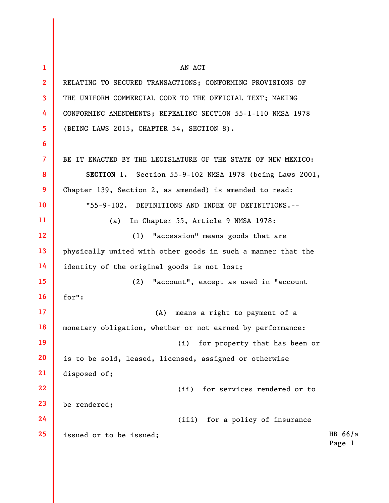| 1               | AN ACT                                                       |                     |
|-----------------|--------------------------------------------------------------|---------------------|
| $\overline{2}$  | RELATING TO SECURED TRANSACTIONS; CONFORMING PROVISIONS OF   |                     |
| 3               | THE UNIFORM COMMERCIAL CODE TO THE OFFICIAL TEXT; MAKING     |                     |
| 4               | CONFORMING AMENDMENTS; REPEALING SECTION 55-1-110 NMSA 1978  |                     |
| 5               | (BEING LAWS 2015, CHAPTER 54, SECTION 8).                    |                     |
| 6               |                                                              |                     |
| $\overline{7}$  | BE IT ENACTED BY THE LEGISLATURE OF THE STATE OF NEW MEXICO: |                     |
| 8               | SECTION 1. Section 55-9-102 NMSA 1978 (being Laws 2001,      |                     |
| 9               | Chapter 139, Section 2, as amended) is amended to read:      |                     |
| 10              | "55-9-102. DEFINITIONS AND INDEX OF DEFINITIONS.--           |                     |
| 11              | In Chapter 55, Article 9 NMSA 1978:<br>(a)                   |                     |
| 12 <sup>2</sup> | (1) "accession" means goods that are                         |                     |
| 13              | physically united with other goods in such a manner that the |                     |
| 14              | identity of the original goods is not lost;                  |                     |
| 15 <sub>2</sub> | (2)<br>"account", except as used in "account                 |                     |
| 16 <sup>2</sup> | for":                                                        |                     |
| 17 <sup>2</sup> | (A)<br>means a right to payment of a                         |                     |
| 18              | monetary obligation, whether or not earned by performance:   |                     |
| 19              | for property that has been or<br>(i)                         |                     |
| 20              | is to be sold, leased, licensed, assigned or otherwise       |                     |
| 21              | disposed of;                                                 |                     |
| 22              | (ii) for services rendered or to                             |                     |
| 23              | be rendered;                                                 |                     |
| 24              | (iii) for a policy of insurance                              |                     |
| 25              | issued or to be issued;                                      | HB $66/a$<br>Page 1 |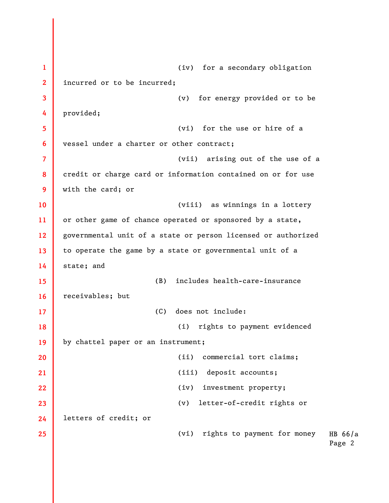HB 66/a Page 2 1 2 3 4 5 6 7 8 9 10 11 12 13 14 15 16 17 18 19 20 21 22 23 24 25 (iv) for a secondary obligation incurred or to be incurred; (v) for energy provided or to be provided; (vi) for the use or hire of a vessel under a charter or other contract; (vii) arising out of the use of a credit or charge card or information contained on or for use with the card; or (viii) as winnings in a lottery or other game of chance operated or sponsored by a state, governmental unit of a state or person licensed or authorized to operate the game by a state or governmental unit of a state; and (B) includes health-care-insurance receivables; but (C) does not include: (i) rights to payment evidenced by chattel paper or an instrument; (ii) commercial tort claims; (iii) deposit accounts; (iv) investment property; (v) letter-of-credit rights or letters of credit; or (vi) rights to payment for money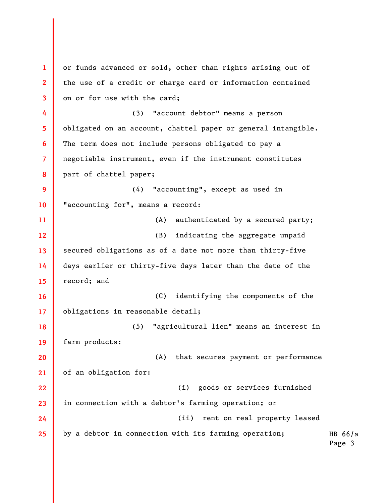HB 66/a Page 3 1 2 3 4 5 6 7 8 9 10 11 12 13 14 15 16 17 18 19 20 21 22 23 24 25 or funds advanced or sold, other than rights arising out of the use of a credit or charge card or information contained on or for use with the card; (3) "account debtor" means a person obligated on an account, chattel paper or general intangible. The term does not include persons obligated to pay a negotiable instrument, even if the instrument constitutes part of chattel paper; (4) "accounting", except as used in "accounting for", means a record: (A) authenticated by a secured party; (B) indicating the aggregate unpaid secured obligations as of a date not more than thirty-five days earlier or thirty-five days later than the date of the record; and (C) identifying the components of the obligations in reasonable detail; (5) "agricultural lien" means an interest in farm products: (A) that secures payment or performance of an obligation for: (i) goods or services furnished in connection with a debtor's farming operation; or (ii) rent on real property leased by a debtor in connection with its farming operation;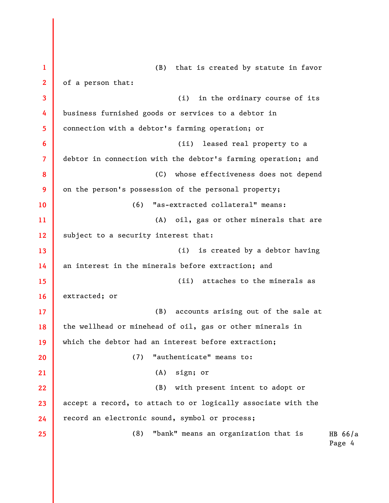HB 66/a Page 4 1 2 3 4 5 6 7 8 9 10 11 12 13 14 15 16 17 18 19 20 21 22 23 24 25 (B) that is created by statute in favor of a person that: (i) in the ordinary course of its business furnished goods or services to a debtor in connection with a debtor's farming operation; or (ii) leased real property to a debtor in connection with the debtor's farming operation; and (C) whose effectiveness does not depend on the person's possession of the personal property; (6) "as-extracted collateral" means: (A) oil, gas or other minerals that are subject to a security interest that: (i) is created by a debtor having an interest in the minerals before extraction; and (ii) attaches to the minerals as extracted; or (B) accounts arising out of the sale at the wellhead or minehead of oil, gas or other minerals in which the debtor had an interest before extraction; (7) "authenticate" means to: (A) sign; or (B) with present intent to adopt or accept a record, to attach to or logically associate with the record an electronic sound, symbol or process; (8) "bank" means an organization that is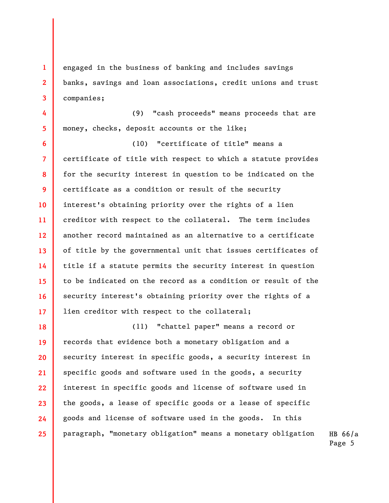engaged in the business of banking and includes savings banks, savings and loan associations, credit unions and trust companies;

1

2

3

4 5 (9) "cash proceeds" means proceeds that are money, checks, deposit accounts or the like;

6 7 8 9 10 11 12 13 14 15 16 17 (10) "certificate of title" means a certificate of title with respect to which a statute provides for the security interest in question to be indicated on the certificate as a condition or result of the security interest's obtaining priority over the rights of a lien creditor with respect to the collateral. The term includes another record maintained as an alternative to a certificate of title by the governmental unit that issues certificates of title if a statute permits the security interest in question to be indicated on the record as a condition or result of the security interest's obtaining priority over the rights of a lien creditor with respect to the collateral;

18 19 20 21 22 23 24 25 (11) "chattel paper" means a record or records that evidence both a monetary obligation and a security interest in specific goods, a security interest in specific goods and software used in the goods, a security interest in specific goods and license of software used in the goods, a lease of specific goods or a lease of specific goods and license of software used in the goods. In this paragraph, "monetary obligation" means a monetary obligation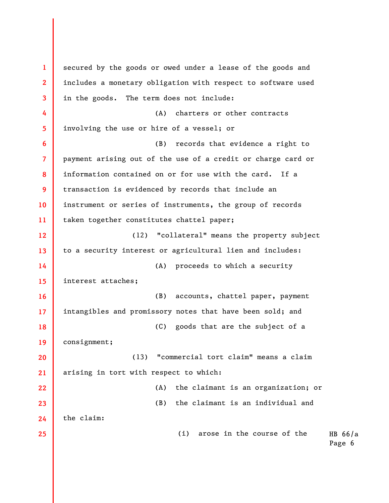HB 66/a Page 6 1 2 3 4 5 6 7 8 9 10 11 12 13 14 15 16 17 18 19 20 21 22 23 24 25 secured by the goods or owed under a lease of the goods and includes a monetary obligation with respect to software used in the goods. The term does not include: (A) charters or other contracts involving the use or hire of a vessel; or (B) records that evidence a right to payment arising out of the use of a credit or charge card or information contained on or for use with the card. If a transaction is evidenced by records that include an instrument or series of instruments, the group of records taken together constitutes chattel paper; (12) "collateral" means the property subject to a security interest or agricultural lien and includes: (A) proceeds to which a security interest attaches; (B) accounts, chattel paper, payment intangibles and promissory notes that have been sold; and (C) goods that are the subject of a consignment; (13) "commercial tort claim" means a claim arising in tort with respect to which: (A) the claimant is an organization; or (B) the claimant is an individual and the claim: (i) arose in the course of the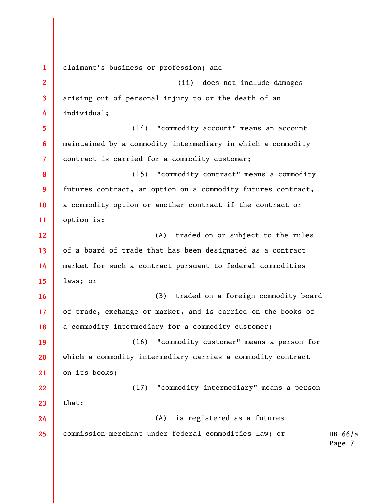1 2 3 4 5 6 7 8 9 10 11 12 13 14 15 16 17 18 19 20 21 22 23 24 25 claimant's business or profession; and (ii) does not include damages arising out of personal injury to or the death of an individual; (14) "commodity account" means an account maintained by a commodity intermediary in which a commodity contract is carried for a commodity customer; (15) "commodity contract" means a commodity futures contract, an option on a commodity futures contract, a commodity option or another contract if the contract or option is: (A) traded on or subject to the rules of a board of trade that has been designated as a contract market for such a contract pursuant to federal commodities laws; or (B) traded on a foreign commodity board of trade, exchange or market, and is carried on the books of a commodity intermediary for a commodity customer; (16) "commodity customer" means a person for which a commodity intermediary carries a commodity contract on its books; (17) "commodity intermediary" means a person that: (A) is registered as a futures commission merchant under federal commodities law; or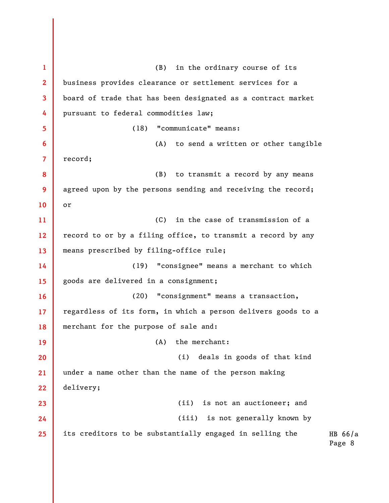HB 66/a Page 8 1 2 3 4 5 6 7 8 9 10 11 12 13 14 15 16 17 18 19 20 21 22 23 24 25 (B) in the ordinary course of its business provides clearance or settlement services for a board of trade that has been designated as a contract market pursuant to federal commodities law; (18) "communicate" means: (A) to send a written or other tangible record; (B) to transmit a record by any means agreed upon by the persons sending and receiving the record; or (C) in the case of transmission of a record to or by a filing office, to transmit a record by any means prescribed by filing-office rule; (19) "consignee" means a merchant to which goods are delivered in a consignment; (20) "consignment" means a transaction, regardless of its form, in which a person delivers goods to a merchant for the purpose of sale and: (A) the merchant: (i) deals in goods of that kind under a name other than the name of the person making delivery; (ii) is not an auctioneer; and (iii) is not generally known by its creditors to be substantially engaged in selling the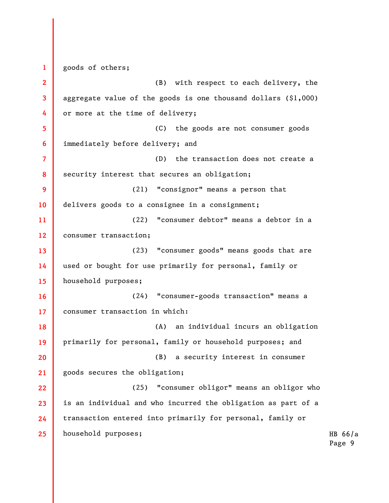1 2 3 4 5 6 7 8 9 10 11 12 13 14 15 16 17 18 19 20 21 22 23 24 25 goods of others; (B) with respect to each delivery, the aggregate value of the goods is one thousand dollars  $(§1,000)$ or more at the time of delivery; (C) the goods are not consumer goods immediately before delivery; and (D) the transaction does not create a security interest that secures an obligation; (21) "consignor" means a person that delivers goods to a consignee in a consignment; (22) "consumer debtor" means a debtor in a consumer transaction; (23) "consumer goods" means goods that are used or bought for use primarily for personal, family or household purposes; (24) "consumer-goods transaction" means a consumer transaction in which: (A) an individual incurs an obligation primarily for personal, family or household purposes; and (B) a security interest in consumer goods secures the obligation; (25) "consumer obligor" means an obligor who is an individual and who incurred the obligation as part of a transaction entered into primarily for personal, family or household purposes;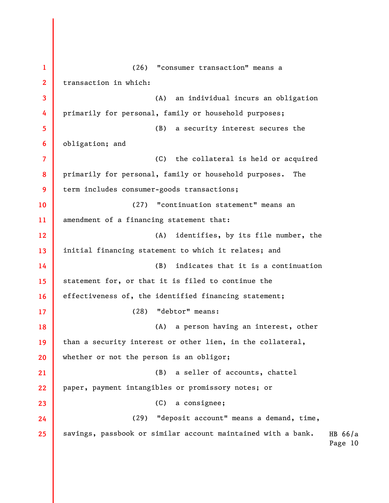HB 66/a Page 10 1 2 3 4 5 6 7 8 9 10 11 12 13 14 15 16 17 18 19 20 21 22 23 24 25 (26) "consumer transaction" means a transaction in which: (A) an individual incurs an obligation primarily for personal, family or household purposes; (B) a security interest secures the obligation; and (C) the collateral is held or acquired primarily for personal, family or household purposes. The term includes consumer-goods transactions; (27) "continuation statement" means an amendment of a financing statement that: (A) identifies, by its file number, the initial financing statement to which it relates; and (B) indicates that it is a continuation statement for, or that it is filed to continue the effectiveness of, the identified financing statement; (28) "debtor" means: (A) a person having an interest, other than a security interest or other lien, in the collateral, whether or not the person is an obligor; (B) a seller of accounts, chattel paper, payment intangibles or promissory notes; or (C) a consignee; (29) "deposit account" means a demand, time, savings, passbook or similar account maintained with a bank.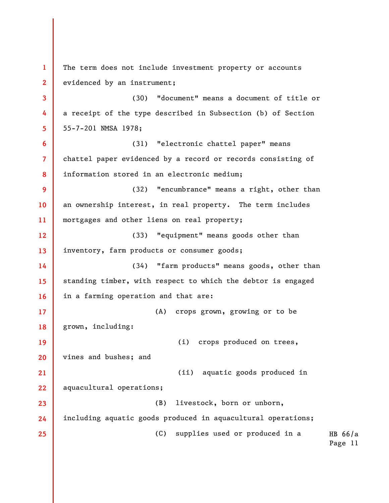HB 66/a Page 11 1 2 3 4 5 6 7 8 9 10 11 12 13 14 15 16 17 18 19 20 21 22 23 24 25 The term does not include investment property or accounts evidenced by an instrument; (30) "document" means a document of title or a receipt of the type described in Subsection (b) of Section 55-7-201 NMSA 1978; (31) "electronic chattel paper" means chattel paper evidenced by a record or records consisting of information stored in an electronic medium; (32) "encumbrance" means a right, other than an ownership interest, in real property. The term includes mortgages and other liens on real property; (33) "equipment" means goods other than inventory, farm products or consumer goods; (34) "farm products" means goods, other than standing timber, with respect to which the debtor is engaged in a farming operation and that are: (A) crops grown, growing or to be grown, including: (i) crops produced on trees, vines and bushes; and (ii) aquatic goods produced in aquacultural operations; (B) livestock, born or unborn, including aquatic goods produced in aquacultural operations; (C) supplies used or produced in a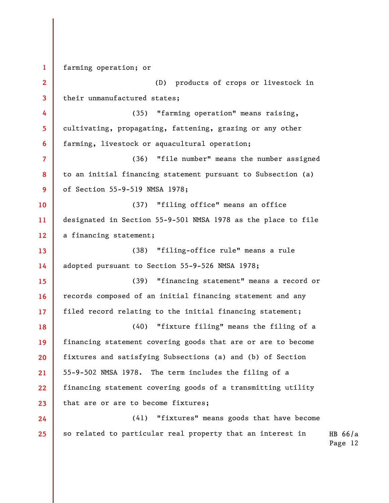HB 66/a 1 2 3 4 5 6 7 8 9 10 11 12 13 14 15 16 17 18 19 20 21 22 23 24 25 farming operation; or (D) products of crops or livestock in their unmanufactured states; (35) "farming operation" means raising, cultivating, propagating, fattening, grazing or any other farming, livestock or aquacultural operation; (36) "file number" means the number assigned to an initial financing statement pursuant to Subsection (a) of Section 55-9-519 NMSA 1978; (37) "filing office" means an office designated in Section 55-9-501 NMSA 1978 as the place to file a financing statement; (38) "filing-office rule" means a rule adopted pursuant to Section 55-9-526 NMSA 1978; (39) "financing statement" means a record or records composed of an initial financing statement and any filed record relating to the initial financing statement; (40) "fixture filing" means the filing of a financing statement covering goods that are or are to become fixtures and satisfying Subsections (a) and (b) of Section 55-9-502 NMSA 1978. The term includes the filing of a financing statement covering goods of a transmitting utility that are or are to become fixtures; (41) "fixtures" means goods that have become so related to particular real property that an interest in

Page 12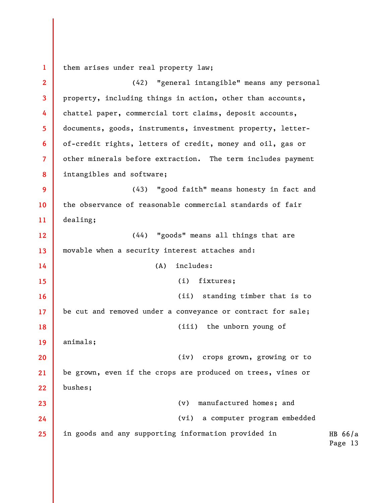1 them arises under real property law;

HB 66/a Page 13 2 3 4 5 6 7 8 9 10 11 12 13 14 15 16 17 18 19 20 21 22 23 24 25 (42) "general intangible" means any personal property, including things in action, other than accounts, chattel paper, commercial tort claims, deposit accounts, documents, goods, instruments, investment property, letterof-credit rights, letters of credit, money and oil, gas or other minerals before extraction. The term includes payment intangibles and software; (43) "good faith" means honesty in fact and the observance of reasonable commercial standards of fair dealing; (44) "goods" means all things that are movable when a security interest attaches and: (A) includes: (i) fixtures; (ii) standing timber that is to be cut and removed under a conveyance or contract for sale; (iii) the unborn young of animals; (iv) crops grown, growing or to be grown, even if the crops are produced on trees, vines or bushes; (v) manufactured homes; and (vi) a computer program embedded in goods and any supporting information provided in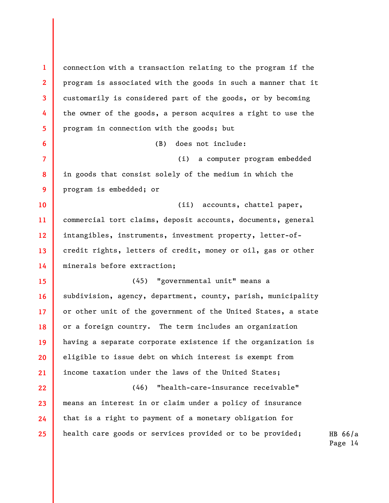1 2 3 4 5 6 7 8 9 10 11 12 13 14 15 16 17 18 19 20 21 22 23 24 25 connection with a transaction relating to the program if the program is associated with the goods in such a manner that it customarily is considered part of the goods, or by becoming the owner of the goods, a person acquires a right to use the program in connection with the goods; but (B) does not include: (i) a computer program embedded in goods that consist solely of the medium in which the program is embedded; or (ii) accounts, chattel paper, commercial tort claims, deposit accounts, documents, general intangibles, instruments, investment property, letter-ofcredit rights, letters of credit, money or oil, gas or other minerals before extraction; (45) "governmental unit" means a subdivision, agency, department, county, parish, municipality or other unit of the government of the United States, a state or a foreign country. The term includes an organization having a separate corporate existence if the organization is eligible to issue debt on which interest is exempt from income taxation under the laws of the United States; (46) "health-care-insurance receivable" means an interest in or claim under a policy of insurance that is a right to payment of a monetary obligation for health care goods or services provided or to be provided;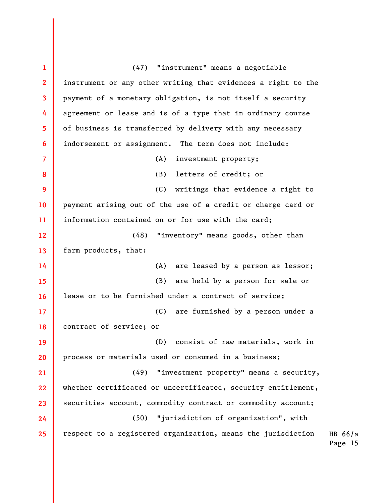| $\mathbf{1}$    | (47) "instrument" means a negotiable                          |                      |
|-----------------|---------------------------------------------------------------|----------------------|
| $\mathbf{2}$    | instrument or any other writing that evidences a right to the |                      |
| $\mathbf{3}$    | payment of a monetary obligation, is not itself a security    |                      |
| 4               | agreement or lease and is of a type that in ordinary course   |                      |
| 5               | of business is transferred by delivery with any necessary     |                      |
| 6               | indorsement or assignment. The term does not include:         |                      |
| $\overline{7}$  | (A)<br>investment property;                                   |                      |
| 8               | letters of credit; or<br>(B)                                  |                      |
| 9               | (C)<br>writings that evidence a right to                      |                      |
| 10              | payment arising out of the use of a credit or charge card or  |                      |
| 11              | information contained on or for use with the card;            |                      |
| 12 <sup>2</sup> | "inventory" means goods, other than<br>(48)                   |                      |
| 13              | farm products, that:                                          |                      |
| 14              | (A)<br>are leased by a person as lessor;                      |                      |
| 15              | (B) are held by a person for sale or                          |                      |
| 16              | lease or to be furnished under a contract of service;         |                      |
| 17 <sup>2</sup> | (C) are furnished by a person under a                         |                      |
| 18              | contract of service; or                                       |                      |
| 19              | consist of raw materials, work in<br>(D)                      |                      |
| 20              | process or materials used or consumed in a business;          |                      |
| 21              | (49) "investment property" means a security,                  |                      |
| 22              | whether certificated or uncertificated, security entitlement, |                      |
| 23              | securities account, commodity contract or commodity account;  |                      |
| 24              | (50) "jurisdiction of organization", with                     |                      |
| 25              | respect to a registered organization, means the jurisdiction  | HB $66/a$<br>Page 15 |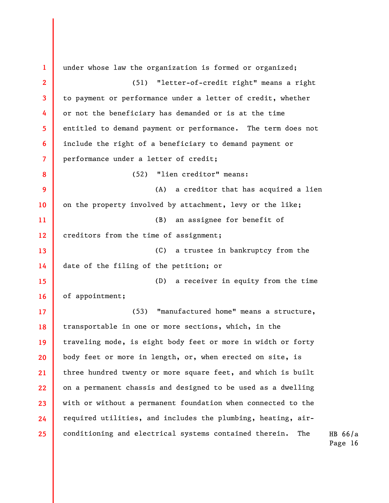| 1              | under whose law the organization is formed or organized;           |
|----------------|--------------------------------------------------------------------|
| $\overline{2}$ | (51) "letter-of-credit right" means a right                        |
| 3              | to payment or performance under a letter of credit, whether        |
| 4              | or not the beneficiary has demanded or is at the time              |
| 5              | entitled to demand payment or performance. The term does not       |
| 6              | include the right of a beneficiary to demand payment or            |
| $\overline{7}$ | performance under a letter of credit;                              |
| 8              | "lien creditor" means:<br>(52)                                     |
| 9              | a creditor that has acquired a lien<br>(A)                         |
| 10             | on the property involved by attachment, levy or the like;          |
| 11             | an assignee for benefit of<br>(B)                                  |
| 12             | creditors from the time of assignment;                             |
| 13             | a trustee in bankruptcy from the<br>(C)                            |
| 14             | date of the filing of the petition; or                             |
| 15             | a receiver in equity from the time<br>(D)                          |
| 16             | of appointment;                                                    |
| 17             | "manufactured home" means a structure,<br>(53)                     |
| 18             | transportable in one or more sections, which, in the               |
| 19             | traveling mode, is eight body feet or more in width or forty       |
| 20             | body feet or more in length, or, when erected on site, is          |
| 21             | three hundred twenty or more square feet, and which is built       |
| 22             | on a permanent chassis and designed to be used as a dwelling       |
| 23             | with or without a permanent foundation when connected to the       |
| 24             | required utilities, and includes the plumbing, heating, air-       |
| 25             | conditioning and electrical systems contained therein.<br>The<br>Η |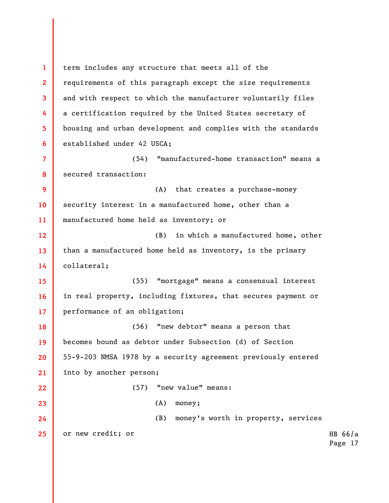HB 66/a Page 17 1 2 3 4 5 6 7 8 9 10 11 12 13 14 15 16 17 18 19 20 21 22 23 24 25 term includes any structure that meets all of the requirements of this paragraph except the size requirements and with respect to which the manufacturer voluntarily files a certification required by the United States secretary of housing and urban development and complies with the standards established under 42 USCA; (54) "manufactured-home transaction" means a secured transaction: (A) that creates a purchase-money security interest in a manufactured home, other than a manufactured home held as inventory; or (B) in which a manufactured home, other than a manufactured home held as inventory, is the primary collateral; (55) "mortgage" means a consensual interest in real property, including fixtures, that secures payment or performance of an obligation; (56) "new debtor" means a person that becomes bound as debtor under Subsection (d) of Section 55-9-203 NMSA 1978 by a security agreement previously entered into by another person; (57) "new value" means: (A) money; (B) money's worth in property, services or new credit; or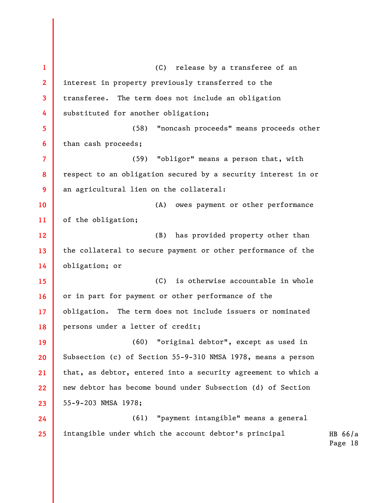HB 66/a Page 18 1 2 3 4 5 6 7 8 9 10 11 12 13 14 15 16 17 18 19 20 21 22 23 24 25 (C) release by a transferee of an interest in property previously transferred to the transferee. The term does not include an obligation substituted for another obligation; (58) "noncash proceeds" means proceeds other than cash proceeds; (59) "obligor" means a person that, with respect to an obligation secured by a security interest in or an agricultural lien on the collateral: (A) owes payment or other performance of the obligation; (B) has provided property other than the collateral to secure payment or other performance of the obligation; or (C) is otherwise accountable in whole or in part for payment or other performance of the obligation. The term does not include issuers or nominated persons under a letter of credit; (60) "original debtor", except as used in Subsection (c) of Section 55-9-310 NMSA 1978, means a person that, as debtor, entered into a security agreement to which a new debtor has become bound under Subsection (d) of Section 55-9-203 NMSA 1978; (61) "payment intangible" means a general intangible under which the account debtor's principal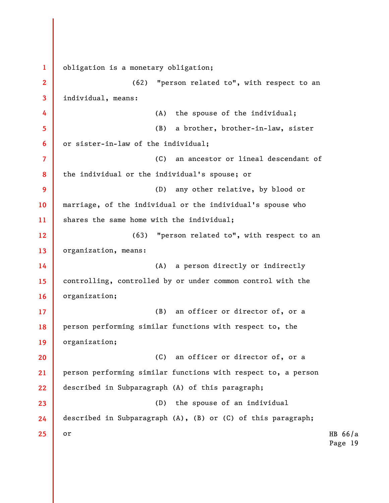HB 66/a Page 19 1 2 3 4 5 6 7 8 9 10 11 12 13 14 15 16 17 18 19 20 21 22 23 24 25 obligation is a monetary obligation; (62) "person related to", with respect to an individual, means: (A) the spouse of the individual; (B) a brother, brother-in-law, sister or sister-in-law of the individual; (C) an ancestor or lineal descendant of the individual or the individual's spouse; or (D) any other relative, by blood or marriage, of the individual or the individual's spouse who shares the same home with the individual; (63) "person related to", with respect to an organization, means: (A) a person directly or indirectly controlling, controlled by or under common control with the organization; (B) an officer or director of, or a person performing similar functions with respect to, the organization; (C) an officer or director of, or a person performing similar functions with respect to, a person described in Subparagraph (A) of this paragraph; (D) the spouse of an individual described in Subparagraph (A), (B) or (C) of this paragraph; or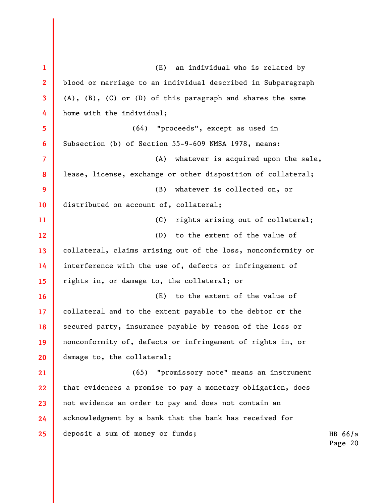| $\mathbf{1}$    | an individual who is related by<br>(E)                               |    |
|-----------------|----------------------------------------------------------------------|----|
| $\overline{2}$  | blood or marriage to an individual described in Subparagraph         |    |
| 3               | $(A)$ , $(B)$ , $(C)$ or $(D)$ of this paragraph and shares the same |    |
| 4               | home with the individual;                                            |    |
| 5               | "proceeds", except as used in<br>(64)                                |    |
| 6               | Subsection (b) of Section 55-9-609 NMSA 1978, means:                 |    |
| 7               | whatever is acquired upon the sale,<br>(A)                           |    |
| 8               | lease, license, exchange or other disposition of collateral;         |    |
| 9               | (B)<br>whatever is collected on, or                                  |    |
| 10              | distributed on account of, collateral;                               |    |
| 11              | (C)<br>rights arising out of collateral;                             |    |
| 12              | to the extent of the value of<br>(D)                                 |    |
| 13              | collateral, claims arising out of the loss, nonconformity or         |    |
| 14              | interference with the use of, defects or infringement of             |    |
| 15              | rights in, or damage to, the collateral; or                          |    |
| 16              | to the extent of the value of<br>(E)                                 |    |
| 17              | collateral and to the extent payable to the debtor or the            |    |
| 18              | secured party, insurance payable by reason of the loss or            |    |
| 19              | nonconformity of, defects or infringement of rights in, or           |    |
| 20              | damage to, the collateral;                                           |    |
| 21              | (65) "promissory note" means an instrument                           |    |
| 22              | that evidences a promise to pay a monetary obligation, does          |    |
| 23              | not evidence an order to pay and does not contain an                 |    |
| 24              | acknowledgment by a bank that the bank has received for              |    |
| 25 <sub>2</sub> | deposit a sum of money or funds;                                     | HB |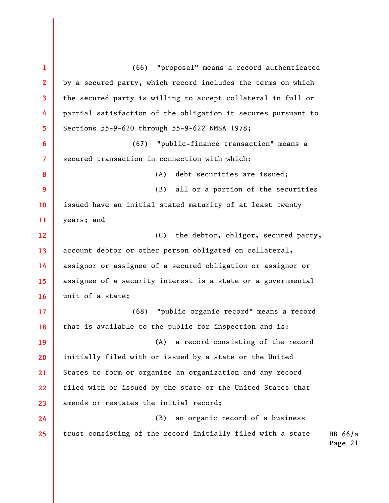1 2 3 4 5 6 7 8 9 10 11 12 13 14 15 16 17 18 19 20 21 22 23 24 25 (66) "proposal" means a record authenticated by a secured party, which record includes the terms on which the secured party is willing to accept collateral in full or partial satisfaction of the obligation it secures pursuant to Sections 55-9-620 through 55-9-622 NMSA 1978; (67) "public-finance transaction" means a secured transaction in connection with which: (A) debt securities are issued; (B) all or a portion of the securities issued have an initial stated maturity of at least twenty years; and (C) the debtor, obligor, secured party, account debtor or other person obligated on collateral, assignor or assignee of a secured obligation or assignor or assignee of a security interest is a state or a governmental unit of a state; (68) "public organic record" means a record that is available to the public for inspection and is: (A) a record consisting of the record initially filed with or issued by a state or the United States to form or organize an organization and any record filed with or issued by the state or the United States that amends or restates the initial record; (B) an organic record of a business trust consisting of the record initially filed with a state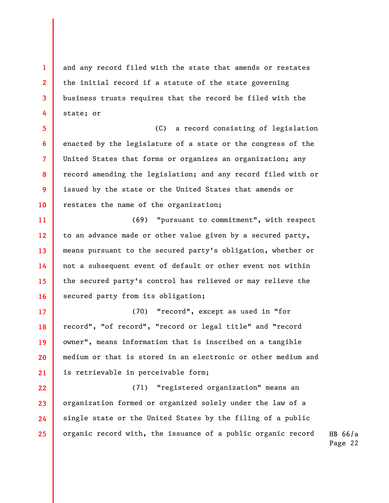and any record filed with the state that amends or restates the initial record if a statute of the state governing business trusts requires that the record be filed with the state; or

1

2

3

4

5 6 7 8 9 10 (C) a record consisting of legislation enacted by the legislature of a state or the congress of the United States that forms or organizes an organization; any record amending the legislation; and any record filed with or issued by the state or the United States that amends or restates the name of the organization;

11 12 13 14 15 16 (69) "pursuant to commitment", with respect to an advance made or other value given by a secured party, means pursuant to the secured party's obligation, whether or not a subsequent event of default or other event not within the secured party's control has relieved or may relieve the secured party from its obligation;

17 18 19 20 21 (70) "record", except as used in "for record", "of record", "record or legal title" and "record owner", means information that is inscribed on a tangible medium or that is stored in an electronic or other medium and is retrievable in perceivable form;

22 23 24 25 (71) "registered organization" means an organization formed or organized solely under the law of a single state or the United States by the filing of a public organic record with, the issuance of a public organic record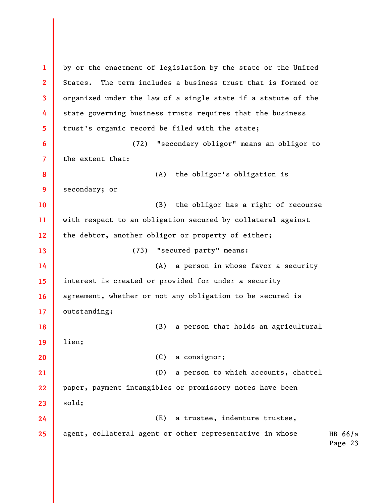HB 66/a Page 23 1 2 3 4 5 6 7 8 9 10 11 12 13 14 15 16 17 18 19 20 21 22 23 24 25 by or the enactment of legislation by the state or the United States. The term includes a business trust that is formed or organized under the law of a single state if a statute of the state governing business trusts requires that the business trust's organic record be filed with the state; (72) "secondary obligor" means an obligor to the extent that: (A) the obligor's obligation is secondary; or (B) the obligor has a right of recourse with respect to an obligation secured by collateral against the debtor, another obligor or property of either; (73) "secured party" means: (A) a person in whose favor a security interest is created or provided for under a security agreement, whether or not any obligation to be secured is outstanding; (B) a person that holds an agricultural lien; (C) a consignor; (D) a person to which accounts, chattel paper, payment intangibles or promissory notes have been sold; (E) a trustee, indenture trustee, agent, collateral agent or other representative in whose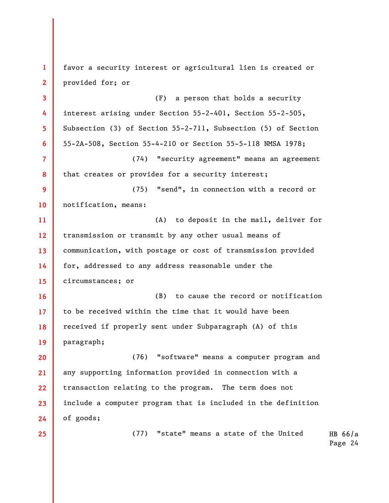HB 66/a Page 24 1 2 3 4 5 6 7 8 9 10 11 12 13 14 15 16 17 18 19 20 21 22 23 24 25 favor a security interest or agricultural lien is created or provided for; or (F) a person that holds a security interest arising under Section 55-2-401, Section 55-2-505, Subsection (3) of Section 55-2-711, Subsection (5) of Section 55-2A-508, Section 55-4-210 or Section 55-5-118 NMSA 1978; (74) "security agreement" means an agreement that creates or provides for a security interest; (75) "send", in connection with a record or notification, means: (A) to deposit in the mail, deliver for transmission or transmit by any other usual means of communication, with postage or cost of transmission provided for, addressed to any address reasonable under the circumstances; or (B) to cause the record or notification to be received within the time that it would have been received if properly sent under Subparagraph (A) of this paragraph; (76) "software" means a computer program and any supporting information provided in connection with a transaction relating to the program. The term does not include a computer program that is included in the definition of goods; (77) "state" means a state of the United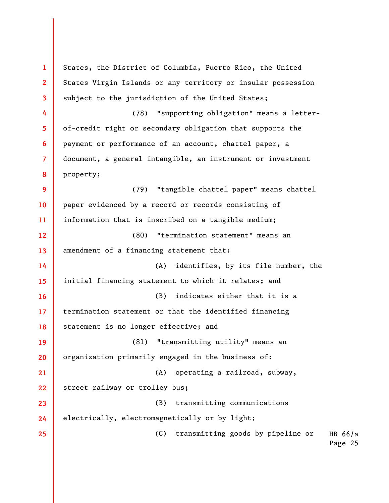HB 66/a Page 25 1 2 3 4 5 6 7 8 9 10 11 12 13 14 15 16 17 18 19 20 21 22 23 24 25 States, the District of Columbia, Puerto Rico, the United States Virgin Islands or any territory or insular possession subject to the jurisdiction of the United States; (78) "supporting obligation" means a letterof-credit right or secondary obligation that supports the payment or performance of an account, chattel paper, a document, a general intangible, an instrument or investment property; (79) "tangible chattel paper" means chattel paper evidenced by a record or records consisting of information that is inscribed on a tangible medium; (80) "termination statement" means an amendment of a financing statement that: (A) identifies, by its file number, the initial financing statement to which it relates; and (B) indicates either that it is a termination statement or that the identified financing statement is no longer effective; and (81) "transmitting utility" means an organization primarily engaged in the business of: (A) operating a railroad, subway, street railway or trolley bus; (B) transmitting communications electrically, electromagnetically or by light; (C) transmitting goods by pipeline or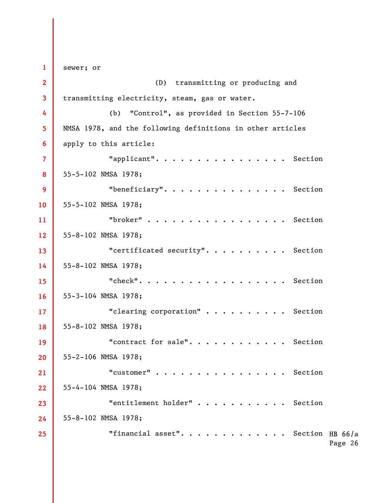"financial asset".  $\cdots$  . . . . . . . . . Section HB 66/a Page 26 1 2 3 4 5 6 7 8 9 10 11 12 13 14 15 16 17 18 19 20 21 22 23 24 25 sewer; or (D) transmitting or producing and transmitting electricity, steam, gas or water. (b) "Control", as provided in Section 55-7-106 NMSA 1978, and the following definitions in other articles apply to this article: "applicant". . . . . . . . . . . . . . . . Section 55-5-102 NMSA 1978; "beneficiary". . . . . . . . . . . . . . . Section 55-5-102 NMSA 1978; "broker" . . . . . . . . . . . . . . . . . Section 55-8-102 NMSA 1978; "certificated security". . . . . . . . . . Section 55-8-102 NMSA 1978; "check". . . . . . . . . . . . . . . . . . Section 55-3-104 NMSA 1978; "clearing corporation" . . . . . . . . . . Section 55-8-102 NMSA 1978; "contract for sale". . . . . . . . . . . Section 55-2-106 NMSA 1978; "customer" . . . . . . . . . . . . . . . . Section 55-4-104 NMSA 1978; "entitlement holder" . . . . . . . . . . . Section 55-8-102 NMSA 1978;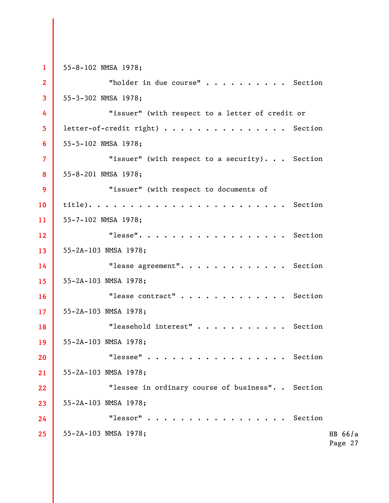HB 66/a Page 27 1 2 3 4 5 6 7 8 9 10 11 12 13 14 15 16 17 18 19 20 21 22 23 24 25 55-8-102 NMSA 1978; "holder in due course" . . . . . . . . . . Section 55-3-302 NMSA 1978; "issuer" (with respect to a letter of credit or letter-of-credit right) . . . . . . . . . . . . . . . Section 55-5-102 NMSA 1978; "issuer" (with respect to a security). . . Section 55-8-201 NMSA 1978; "issuer" (with respect to documents of title). . . . . . . . . . . . . . . . . . . . . . . . Section 55-7-102 NMSA 1978; "lease". . . . . . . . . . . . . . . . . . Section 55-2A-103 NMSA 1978; "lease agreement". . . . . . . . . . . . . Section 55-2A-103 NMSA 1978; "lease contract" . . . . . . . . . . . . . Section 55-2A-103 NMSA 1978; "leasehold interest" . . . . . . . . . . . Section 55-2A-103 NMSA 1978; "lessee" . . . . . . . . . . . . . . . . . Section 55-2A-103 NMSA 1978; "lessee in ordinary course of business". . Section 55-2A-103 NMSA 1978; "lessor" . . . . . . . . . . . . . . . . . Section 55-2A-103 NMSA 1978;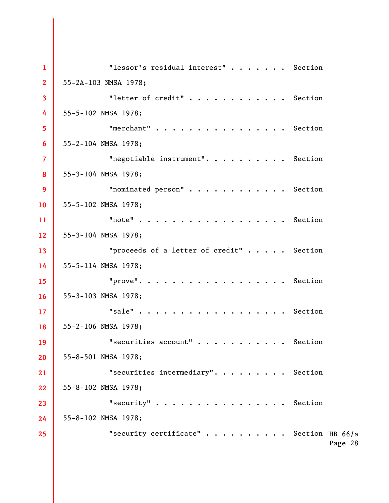"security certificate" . . . . . . . . . Section HB 66/a Page 28 1 2 3 4 5 6 7 8 9 10 11 12 13 14 15 16 17 18 19 20 21 22 23 24 25 "lessor's residual interest" . . . . . . . Section 55-2A-103 NMSA 1978; "letter of credit" . . . . . . . . . . . . Section 55-5-102 NMSA 1978; "merchant" . . . . . . . . . . . . . . . . Section 55-2-104 NMSA 1978; "negotiable instrument". . . . . . . . . . Section 55-3-104 NMSA 1978; "nominated person" . . . . . . . . . . . . Section 55-5-102 NMSA 1978; "note" . . . . . . . . . . . . . . . . . . Section 55-3-104 NMSA 1978; "proceeds of a letter of credit" . . . . . Section 55-5-114 NMSA 1978; "prove". . . . . . . . . . . . . . . . . . Section 55-3-103 NMSA 1978; "sale" . . . . . . . . . . . . . . . . . . Section 55-2-106 NMSA 1978; "securities account" . . . . . . . . . . . Section 55-8-501 NMSA 1978; "securities intermediary". . . . . . . . . Section 55-8-102 NMSA 1978; "security" . . . . . . . . . . . . . . . . Section 55-8-102 NMSA 1978;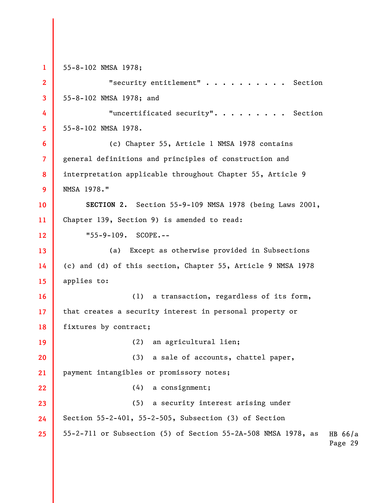HB 66/a Page 29 1 2 3 4 5 6 7 8 9 10 11 12 13 14 15 16 17 18 19 20 21 22 23 24 25 55-8-102 NMSA 1978; "security entitlement" . . . . . . . . . . Section 55-8-102 NMSA 1978; and "uncertificated security". . . . . . . . . Section 55-8-102 NMSA 1978. (c) Chapter 55, Article 1 NMSA 1978 contains general definitions and principles of construction and interpretation applicable throughout Chapter 55, Article 9 NMSA 1978." SECTION 2. Section 55-9-109 NMSA 1978 (being Laws 2001, Chapter 139, Section 9) is amended to read: "55-9-109. SCOPE.-- (a) Except as otherwise provided in Subsections (c) and (d) of this section, Chapter 55, Article 9 NMSA 1978 applies to: (1) a transaction, regardless of its form, that creates a security interest in personal property or fixtures by contract; (2) an agricultural lien; (3) a sale of accounts, chattel paper, payment intangibles or promissory notes; (4) a consignment; (5) a security interest arising under Section 55-2-401, 55-2-505, Subsection (3) of Section 55-2-711 or Subsection (5) of Section 55-2A-508 NMSA 1978, as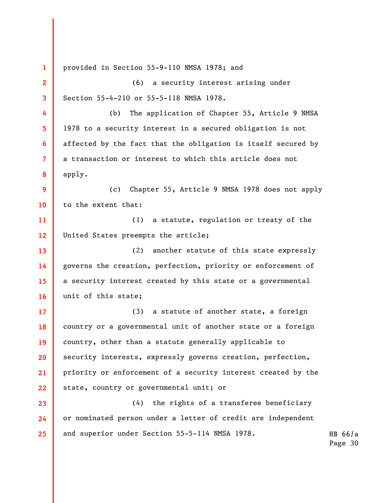HB 66/a Page 30 1 2 3 4 5 6 7 8 9 10 11 12 13 14 15 16 17 18 19 20 21 22 23 24 25 provided in Section 55-9-110 NMSA 1978; and (6) a security interest arising under Section 55-4-210 or 55-5-118 NMSA 1978. (b) The application of Chapter 55, Article 9 NMSA 1978 to a security interest in a secured obligation is not affected by the fact that the obligation is itself secured by a transaction or interest to which this article does not apply. (c) Chapter 55, Article 9 NMSA 1978 does not apply to the extent that: (1) a statute, regulation or treaty of the United States preempts the article; (2) another statute of this state expressly governs the creation, perfection, priority or enforcement of a security interest created by this state or a governmental unit of this state; (3) a statute of another state, a foreign country or a governmental unit of another state or a foreign country, other than a statute generally applicable to security interests, expressly governs creation, perfection, priority or enforcement of a security interest created by the state, country or governmental unit; or (4) the rights of a transferee beneficiary or nominated person under a letter of credit are independent and superior under Section 55-5-114 NMSA 1978.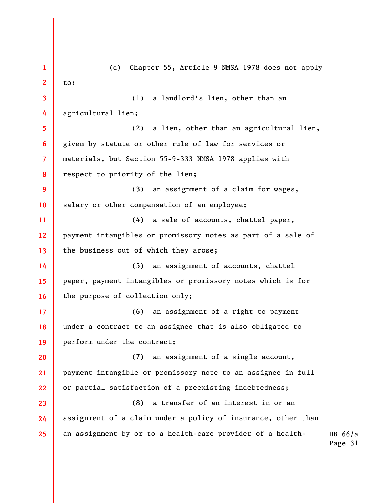HB 66/a Page 31 1 2 3 4 5 6 7 8 9 10 11 12 13 14 15 16 17 18 19 20 21 22 23 24 25 (d) Chapter 55, Article 9 NMSA 1978 does not apply to: (1) a landlord's lien, other than an agricultural lien; (2) a lien, other than an agricultural lien, given by statute or other rule of law for services or materials, but Section 55-9-333 NMSA 1978 applies with respect to priority of the lien; (3) an assignment of a claim for wages, salary or other compensation of an employee; (4) a sale of accounts, chattel paper, payment intangibles or promissory notes as part of a sale of the business out of which they arose; (5) an assignment of accounts, chattel paper, payment intangibles or promissory notes which is for the purpose of collection only; (6) an assignment of a right to payment under a contract to an assignee that is also obligated to perform under the contract; (7) an assignment of a single account, payment intangible or promissory note to an assignee in full or partial satisfaction of a preexisting indebtedness; (8) a transfer of an interest in or an assignment of a claim under a policy of insurance, other than an assignment by or to a health-care provider of a health-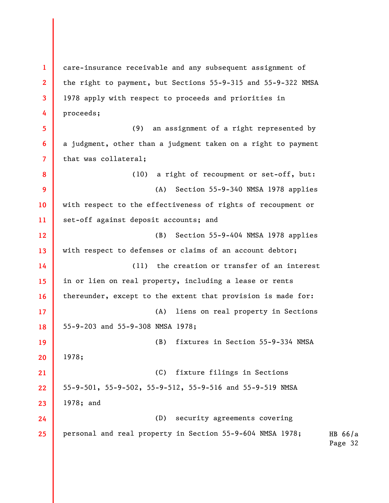1 2 3 4 5 6 7 8 9 10 11 12 13 14 15 16 17 18 19 20 21 22 23 24 25 care-insurance receivable and any subsequent assignment of the right to payment, but Sections 55-9-315 and 55-9-322 NMSA 1978 apply with respect to proceeds and priorities in proceeds; (9) an assignment of a right represented by a judgment, other than a judgment taken on a right to payment that was collateral; (10) a right of recoupment or set-off, but: (A) Section 55-9-340 NMSA 1978 applies with respect to the effectiveness of rights of recoupment or set-off against deposit accounts; and (B) Section 55-9-404 NMSA 1978 applies with respect to defenses or claims of an account debtor; (11) the creation or transfer of an interest in or lien on real property, including a lease or rents thereunder, except to the extent that provision is made for: (A) liens on real property in Sections 55-9-203 and 55-9-308 NMSA 1978; (B) fixtures in Section 55-9-334 NMSA 1978; (C) fixture filings in Sections 55-9-501, 55-9-502, 55-9-512, 55-9-516 and 55-9-519 NMSA 1978; and (D) security agreements covering personal and real property in Section 55-9-604 NMSA 1978;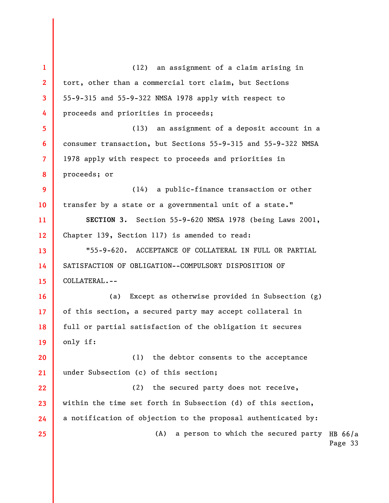(A) a person to which the secured party HB  $66/a$ Page 33 1 2 3 4 5 6 7 8 9 10 11 12 13 14 15 16 17 18 19 20 21 22 23 24 25 (12) an assignment of a claim arising in tort, other than a commercial tort claim, but Sections 55-9-315 and 55-9-322 NMSA 1978 apply with respect to proceeds and priorities in proceeds; (13) an assignment of a deposit account in a consumer transaction, but Sections 55-9-315 and 55-9-322 NMSA 1978 apply with respect to proceeds and priorities in proceeds; or (14) a public-finance transaction or other transfer by a state or a governmental unit of a state." SECTION 3. Section 55-9-620 NMSA 1978 (being Laws 2001, Chapter 139, Section 117) is amended to read: "55-9-620. ACCEPTANCE OF COLLATERAL IN FULL OR PARTIAL SATISFACTION OF OBLIGATION--COMPULSORY DISPOSITION OF COLLATERAL.-- (a) Except as otherwise provided in Subsection (g) of this section, a secured party may accept collateral in full or partial satisfaction of the obligation it secures only if: (1) the debtor consents to the acceptance under Subsection (c) of this section; (2) the secured party does not receive, within the time set forth in Subsection (d) of this section, a notification of objection to the proposal authenticated by: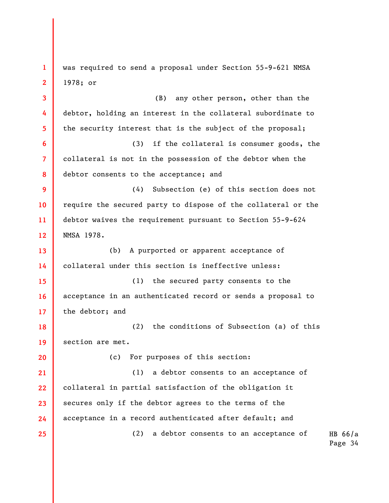HB 66/a 1 2 3 4 5 6 7 8 9 10 11 12 13 14 15 16 17 18 19 20 21 22 23 24 25 was required to send a proposal under Section 55-9-621 NMSA 1978; or (B) any other person, other than the debtor, holding an interest in the collateral subordinate to the security interest that is the subject of the proposal; (3) if the collateral is consumer goods, the collateral is not in the possession of the debtor when the debtor consents to the acceptance; and (4) Subsection (e) of this section does not require the secured party to dispose of the collateral or the debtor waives the requirement pursuant to Section 55-9-624 NMSA 1978. (b) A purported or apparent acceptance of collateral under this section is ineffective unless: (1) the secured party consents to the acceptance in an authenticated record or sends a proposal to the debtor; and (2) the conditions of Subsection (a) of this section are met. (c) For purposes of this section: (1) a debtor consents to an acceptance of collateral in partial satisfaction of the obligation it secures only if the debtor agrees to the terms of the acceptance in a record authenticated after default; and (2) a debtor consents to an acceptance of

Page 34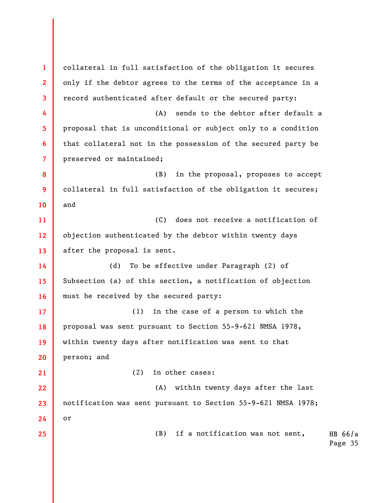HB 66/a Page 35 1 2 3 4 5 6 7 8 9 10 11 12 13 14 15 16 17 18 19 20 21 22 23 24 25 collateral in full satisfaction of the obligation it secures only if the debtor agrees to the terms of the acceptance in a record authenticated after default or the secured party: (A) sends to the debtor after default a proposal that is unconditional or subject only to a condition that collateral not in the possession of the secured party be preserved or maintained; (B) in the proposal, proposes to accept collateral in full satisfaction of the obligation it secures; and (C) does not receive a notification of objection authenticated by the debtor within twenty days after the proposal is sent. (d) To be effective under Paragraph (2) of Subsection (a) of this section, a notification of objection must be received by the secured party: (1) in the case of a person to which the proposal was sent pursuant to Section 55-9-621 NMSA 1978, within twenty days after notification was sent to that person; and (2) in other cases: (A) within twenty days after the last notification was sent pursuant to Section 55-9-621 NMSA 1978; or (B) if a notification was not sent,